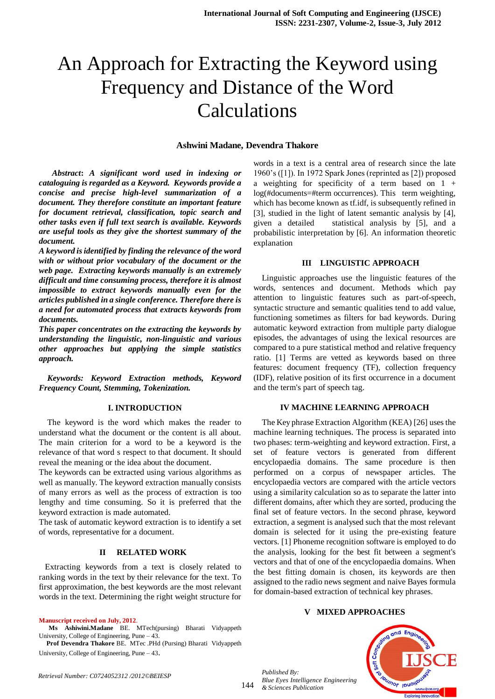# An Approach for Extracting the Keyword using Frequency and Distance of the Word Calculations

# **Ashwini Madane, Devendra Thakore**

 *Abstract***:** *A significant word used in indexing or cataloguing is regarded as a Keyword. Keywords provide a concise and precise high-level summarization of a document. They therefore constitute an important feature for document retrieval, classification, topic search and other tasks even if full text search is available. Keywords are useful tools as they give the shortest summary of the document.*

*A keyword is identified by finding the relevance of the word with or without prior vocabulary of the document or the web page. Extracting keywords manually is an extremely difficult and time consuming process, therefore it is almost impossible to extract keywords manually even for the articles published in a single conference. Therefore there is a need for automated process that extracts keywords from documents.* 

*This paper concentrates on the extracting the keywords by understanding the linguistic, non-linguistic and various other approaches but applying the simple statistics approach.*

*Keywords: Keyword Extraction methods, Keyword Frequency Count, Stemming, Tokenization.*

#### **I. INTRODUCTION**

The keyword is the word which makes the reader to understand what the document or the content is all about. The main criterion for a word to be a keyword is the relevance of that word s respect to that document. It should reveal the meaning or the idea about the document.

The keywords can be extracted using various algorithms as well as manually. The keyword extraction manually consists of many errors as well as the process of extraction is too lengthy and time consuming. So it is preferred that the keyword extraction is made automated.

The task of automatic keyword extraction is to identify a set of words, representative for a document.

#### **II RELATED WORK**

Extracting keywords from a text is closely related to ranking words in the text by their relevance for the text. To first approximation, the best keywords are the most relevant words in the text. Determining the right weight structure for

#### **Manuscript received on July, 2012**.

**Ms Ashiwini.Madane** BE. MTech(pursing) Bharati Vidyappeth University, College of Engineering, Pune – 43.

**Prof Devendra Thakore** BE. MTec .PHd (Pursing) Bharati Vidyappeth University, College of Engineering, Pune – 43.

words in a text is a central area of research since the late 1960's ([1]). In 1972 Spark Jones (reprinted as [2]) proposed a weighting for specificity of a term based on  $1 +$ log(#documents=#term occurrences). This term weighting, which has become known as tf.idf, is subsequently refined in [3], studied in the light of latent semantic analysis by [4], given a detailed statistical analysis by [5], and a probabilistic interpretation by [6]. An information theoretic explanation

#### **III LINGUISTIC APPROACH**

Linguistic approaches use the linguistic features of the words, sentences and document. Methods which pay attention to linguistic features such as part-of-speech, syntactic structure and semantic qualities tend to add value, functioning sometimes as filters for bad keywords. During automatic keyword extraction from multiple party dialogue episodes, the advantages of using the lexical resources are compared to a pure statistical method and relative frequency ratio. [1] Terms are vetted as keywords based on three features: document frequency (TF), collection frequency (IDF), relative position of its first occurrence in a document and the term's part of speech tag.

#### **IV MACHINE LEARNING APPROACH**

The Key phrase Extraction Algorithm (KEA) [26] uses the machine learning techniques. The process is separated into two phases: term-weighting and keyword extraction. First, a set of feature vectors is generated from different encyclopaedia domains. The same procedure is then performed on a corpus of newspaper articles. The encyclopaedia vectors are compared with the article vectors using a similarity calculation so as to separate the latter into different domains, after which they are sorted, producing the final set of feature vectors. In the second phrase, keyword extraction, a segment is analysed such that the most relevant domain is selected for it using the pre-existing feature vectors. [1] Phoneme recognition software is employed to do the analysis, looking for the best fit between a segment's vectors and that of one of the encyclopaedia domains. When the best fitting domain is chosen, its keywords are then assigned to the radio news segment and naive Bayes formula for domain-based extraction of technical key phrases.

# **V MIXED APPROACHES**

*Published By: Blue Eyes Intelligence Engineering & Sciences Publication* 



*Retrieval Number: C0724052312 /2012©BEIESP*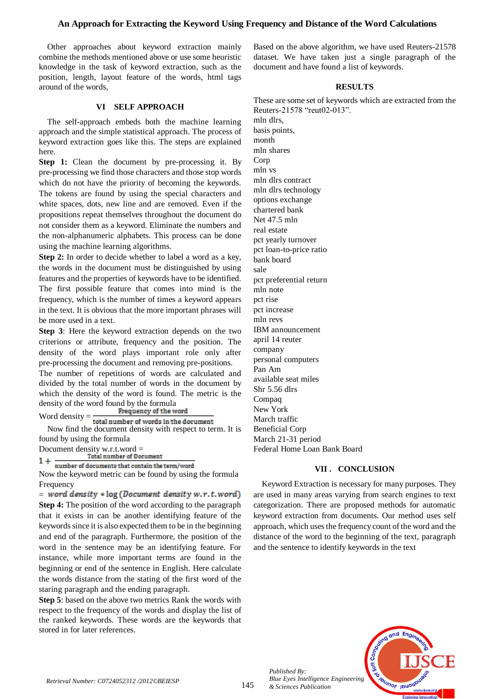# **An Approach for Extracting the Keyword Using Frequency and Distance of the Word Calculations**

Other approaches about keyword extraction mainly combine the methods mentioned above or use some heuristic knowledge in the task of keyword extraction, such as the position, length, layout feature of the words, html tags around of the words,

### **VI SELF APPROACH**

The self-approach embeds both the machine learning approach and the simple statistical approach. The process of keyword extraction goes like this. The steps are explained here.

**Step 1:** Clean the document by pre-processing it. By pre-processing we find those characters and those stop words which do not have the priority of becoming the keywords. The tokens are found by using the special characters and white spaces, dots, new line and are removed. Even if the propositions repeat themselves throughout the document do not consider them as a keyword. Eliminate the numbers and the non-alphanumeric alphabets. This process can be done using the machine learning algorithms.

**Step 2:** In order to decide whether to label a word as a key, the words in the document must be distinguished by using features and the properties of keywords have to be identified. The first possible feature that comes into mind is the frequency, which is the number of times a keyword appears in the text. It is obvious that the more important phrases will be more used in a text.

**Step 3**: Here the keyword extraction depends on the two criterions or attribute, frequency and the position. The density of the word plays important role only after pre-processing the document and removing pre-positions.

The number of repetitions of words are calculated and divided by the total number of words in the document by which the density of the word is found. The metric is the density of the word found by the formula<br>Frequency of the word

Word density  $=$   $\frac{1}{\text{total number of words in the document}}$ Now find the document density with respect to term. It is found by using the formula

Document density w.r.t.word =

 $\frac{1}{1 + \frac{1}{\text{number of documents that contain the term/word}}$ <br>Now the keyword metric can be found by using the formula Frequency

 $=$  word density  $*$  log (Document density w.r.t.word) **Step 4:** The position of the word according to the paragraph that it exists in can be another identifying feature of the keywords since it is also expected them to be in the beginning and end of the paragraph. Furthermore, the position of the word in the sentence may be an identifying feature. For instance, while more important terms are found in the beginning or end of the sentence in English. Here calculate the words distance from the stating of the first word of the staring paragraph and the ending paragraph.

**Step 5**: based on the above two metrics Rank the words with respect to the frequency of the words and display the list of the ranked keywords. These words are the keywords that stored in for later references.

Based on the above algorithm, we have used Reuters-21578 dataset. We have taken just a single paragraph of the document and have found a list of keywords.

# **RESULTS**

These are some set of keywords which are extracted from the Reuters-21578 "reut02-013". mln dlrs,

basis points, month mln shares Corp mln vs mln dlrs contract mln dlrs technology options exchange chartered bank Net 47.5 mln real estate pct yearly turnover pct loan-to-price ratio bank board sale pct preferential return mln note pct rise pct increase mln revs IBM announcement april 14 reuter company personal computers Pan Am available seat miles Shr 5.56 dlrs Compaq New York March traffic Beneficial Corp March 21-31 period Federal Home Loan Bank Board

# **VII . CONCLUSION**

Keyword Extraction is necessary for many purposes. They are used in many areas varying from search engines to text categorization. There are proposed methods for automatic keyword extraction from documents. Our method uses self approach, which uses the frequency count of the word and the distance of the word to the beginning of the text, paragraph and the sentence to identify keywords in the text



*Retrieval Number: C0724052312 /2012©BEIESP*

*Published By:*

*& Sciences Publication*